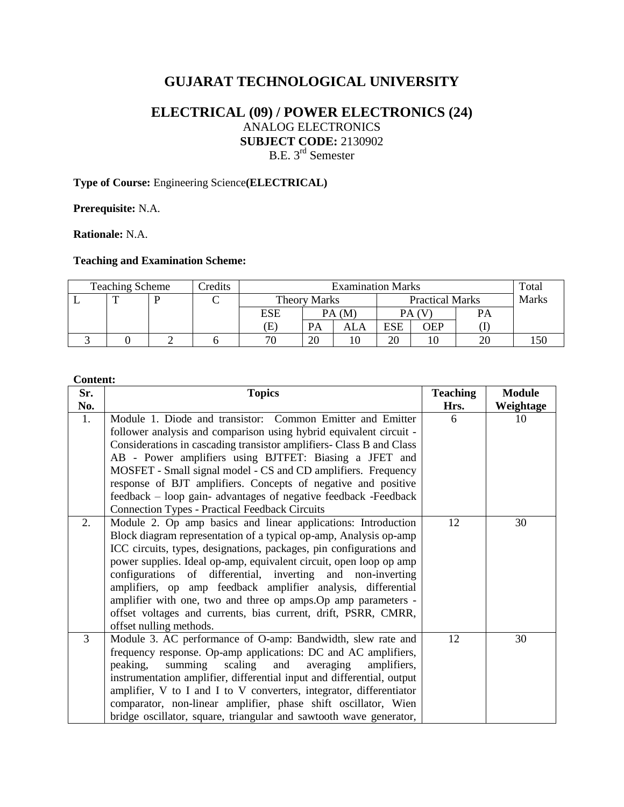# **GUJARAT TECHNOLOGICAL UNIVERSITY**

# **ELECTRICAL (09) / POWER ELECTRONICS (24)** ANALOG ELECTRONICS **SUBJECT CODE:** 2130902 B.E. 3<sup>rd</sup> Semester

## **Type of Course:** Engineering Science**(ELECTRICAL)**

**Prerequisite:** N.A.

**Rationale:** N.A.

## **Teaching and Examination Scheme:**

| <b>Teaching Scheme</b> |  |  | Credits | <b>Examination Marks</b> |                     |     |                        |     |              | Total |
|------------------------|--|--|---------|--------------------------|---------------------|-----|------------------------|-----|--------------|-------|
|                        |  |  |         |                          | <b>Theory Marks</b> |     | <b>Practical Marks</b> |     | <b>Marks</b> |       |
|                        |  |  |         | ESE                      | PA(M)               |     | PA (V                  |     | PА           |       |
|                        |  |  |         | Œ                        | PА                  | ALA | <b>ESE</b>             | OEP |              |       |
|                        |  |  |         | 70                       | 20                  |     | 20                     |     | 20           |       |

#### **Content:**

| Sr.            | <b>Topics</b>                                                          | <b>Teaching</b> | <b>Module</b> |
|----------------|------------------------------------------------------------------------|-----------------|---------------|
| No.            |                                                                        | Hrs.            | Weightage     |
| $\mathbf{1}$ . | Module 1. Diode and transistor: Common Emitter and Emitter             | 6               | 10            |
|                | follower analysis and comparison using hybrid equivalent circuit -     |                 |               |
|                | Considerations in cascading transistor amplifiers- Class B and Class   |                 |               |
|                | AB - Power amplifiers using BJTFET: Biasing a JFET and                 |                 |               |
|                | MOSFET - Small signal model - CS and CD amplifiers. Frequency          |                 |               |
|                | response of BJT amplifiers. Concepts of negative and positive          |                 |               |
|                | feedback – loop gain- advantages of negative feedback -Feedback        |                 |               |
|                | <b>Connection Types - Practical Feedback Circuits</b>                  |                 |               |
| 2.             | Module 2. Op amp basics and linear applications: Introduction          | 12              | 30            |
|                | Block diagram representation of a typical op-amp, Analysis op-amp      |                 |               |
|                | ICC circuits, types, designations, packages, pin configurations and    |                 |               |
|                | power supplies. Ideal op-amp, equivalent circuit, open loop op amp     |                 |               |
|                | configurations of differential, inverting and non-inverting            |                 |               |
|                | amplifiers, op amp feedback amplifier analysis, differential           |                 |               |
|                | amplifier with one, two and three op amps. Op amp parameters -         |                 |               |
|                | offset voltages and currents, bias current, drift, PSRR, CMRR,         |                 |               |
|                | offset nulling methods.                                                |                 |               |
| 3              | Module 3. AC performance of O-amp: Bandwidth, slew rate and            | 12              | 30            |
|                | frequency response. Op-amp applications: DC and AC amplifiers,         |                 |               |
|                | summing<br>scaling<br>peaking,<br>and<br>averaging<br>amplifiers.      |                 |               |
|                | instrumentation amplifier, differential input and differential, output |                 |               |
|                | amplifier, V to I and I to V converters, integrator, differentiator    |                 |               |
|                | comparator, non-linear amplifier, phase shift oscillator, Wien         |                 |               |
|                | bridge oscillator, square, triangular and sawtooth wave generator,     |                 |               |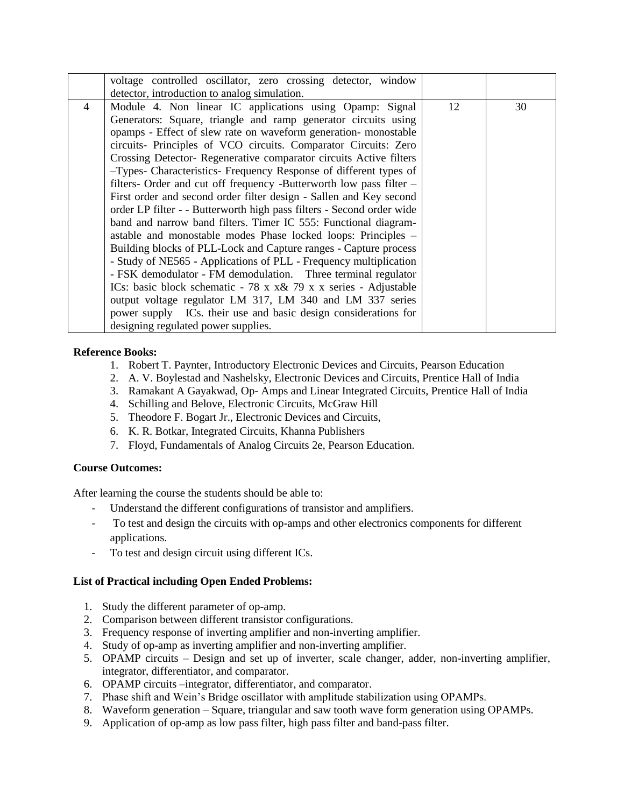|                | voltage controlled oscillator, zero crossing detector, window                |    |    |
|----------------|------------------------------------------------------------------------------|----|----|
|                | detector, introduction to analog simulation.                                 |    |    |
| $\overline{4}$ | Module 4. Non linear IC applications using Opamp: Signal                     | 12 | 30 |
|                | Generators: Square, triangle and ramp generator circuits using               |    |    |
|                | opamps - Effect of slew rate on waveform generation- monostable              |    |    |
|                | circuits- Principles of VCO circuits. Comparator Circuits: Zero              |    |    |
|                | Crossing Detector- Regenerative comparator circuits Active filters           |    |    |
|                | -Types- Characteristics- Frequency Response of different types of            |    |    |
|                | filters- Order and cut off frequency -Butterworth low pass filter –          |    |    |
|                | First order and second order filter design - Sallen and Key second           |    |    |
|                | order LP filter - - Butterworth high pass filters - Second order wide        |    |    |
|                | band and narrow band filters. Timer IC 555: Functional diagram-              |    |    |
|                | astable and monostable modes Phase locked loops: Principles –                |    |    |
|                | Building blocks of PLL-Lock and Capture ranges - Capture process             |    |    |
|                | - Study of NE565 - Applications of PLL - Frequency multiplication            |    |    |
|                | - FSK demodulator - FM demodulation. Three terminal regulator                |    |    |
|                | ICs: basic block schematic $-78 \times x \& 79 \times x$ series - Adjustable |    |    |
|                | output voltage regulator LM 317, LM 340 and LM 337 series                    |    |    |
|                | power supply ICs. their use and basic design considerations for              |    |    |
|                | designing regulated power supplies.                                          |    |    |

### **Reference Books:**

- 1. Robert T. Paynter, Introductory Electronic Devices and Circuits, Pearson Education
- 2. A. V. Boylestad and Nashelsky, Electronic Devices and Circuits, Prentice Hall of India
- 3. Ramakant A Gayakwad, Op- Amps and Linear Integrated Circuits, Prentice Hall of India
- 4. Schilling and Belove, Electronic Circuits, McGraw Hill
- 5. Theodore F. Bogart Jr., Electronic Devices and Circuits,
- 6. K. R. Botkar, Integrated Circuits, Khanna Publishers
- 7. Floyd, Fundamentals of Analog Circuits 2e, Pearson Education.

#### **Course Outcomes:**

After learning the course the students should be able to:

- Understand the different configurations of transistor and amplifiers.
- To test and design the circuits with op-amps and other electronics components for different applications.
- To test and design circuit using different ICs.

### **List of Practical including Open Ended Problems:**

- 1. Study the different parameter of op-amp.
- 2. Comparison between different transistor configurations.
- 3. Frequency response of inverting amplifier and non-inverting amplifier.
- 4. Study of op-amp as inverting amplifier and non-inverting amplifier.
- 5. OPAMP circuits Design and set up of inverter, scale changer, adder, non-inverting amplifier, integrator, differentiator, and comparator.
- 6. OPAMP circuits –integrator, differentiator, and comparator.
- 7. Phase shift and Wein's Bridge oscillator with amplitude stabilization using OPAMPs.
- 8. Waveform generation Square, triangular and saw tooth wave form generation using OPAMPs.
- 9. Application of op-amp as low pass filter, high pass filter and band-pass filter.